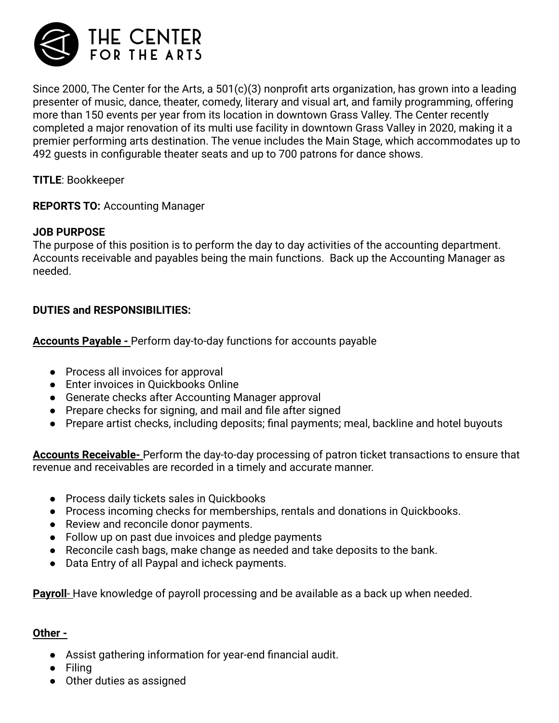

Since 2000, The Center for the Arts, a 501(c)(3) nonprofit arts organization, has grown into a leading presenter of music, dance, theater, comedy, literary and visual art, and family programming, offering more than 150 events per year from its location in downtown Grass Valley. The Center recently completed a major renovation of its multi use facility in downtown Grass Valley in 2020, making it a premier performing arts destination. The venue includes the Main Stage, which accommodates up to 492 guests in configurable theater seats and up to 700 patrons for dance shows.

**TITLE**: Bookkeeper

## **REPORTS TO:** Accounting Manager

## **JOB PURPOSE**

The purpose of this position is to perform the day to day activities of the accounting department. Accounts receivable and payables being the main functions. Back up the Accounting Manager as needed.

## **DUTIES and RESPONSIBILITIES:**

**Accounts Payable -** Perform day-to-day functions for accounts payable

- Process all invoices for approval
- Enter invoices in Ouickbooks Online
- Generate checks after Accounting Manager approval
- Prepare checks for signing, and mail and file after signed
- Prepare artist checks, including deposits; final payments; meal, backline and hotel buyouts

**Accounts Receivable-** Perform the day-to-day processing of patron ticket transactions to ensure that revenue and receivables are recorded in a timely and accurate manner.

- Process daily tickets sales in Quickbooks
- Process incoming checks for memberships, rentals and donations in Quickbooks.
- Review and reconcile donor payments.
- Follow up on past due invoices and pledge payments
- Reconcile cash bags, make change as needed and take deposits to the bank.
- Data Entry of all Paypal and icheck payments.

**Payroll**- Have knowledge of payroll processing and be available as a back up when needed.

### **Other -**

- Assist gathering information for year-end financial audit.
- Filing
- Other duties as assigned